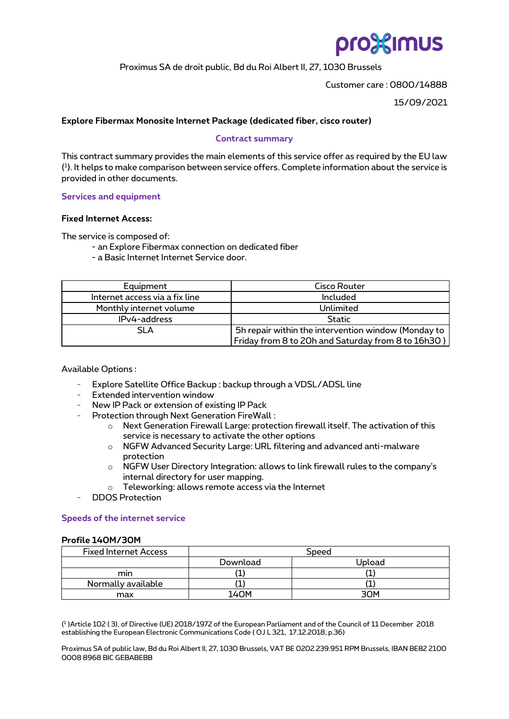# pro%imus

Proximus SA de droit public, Bd du Roi Albert II, 27, 1030 Brussels

Customer care : 0800/14888

15/09/2021

### **Explore Fibermax Monosite Internet Package (dedicated fiber, cisco router)**

#### **Contract summary**

This contract summary provides the main elements of this service offer as required by the EU law ( 1 ). It helps to make comparison between service offers. Complete information about the service is provided in other documents.

**Services and equipment**

#### **Fixed Internet Access:**

The service is composed of:

- an Explore Fibermax connection on dedicated fiber
- a Basic Internet Internet Service door.

| Equipment                      | Cisco Router                                        |  |  |
|--------------------------------|-----------------------------------------------------|--|--|
| Internet access via a fix line | Included                                            |  |  |
| Monthly internet volume        | Unlimited                                           |  |  |
| IPv4-address                   | <b>Static</b>                                       |  |  |
| SLA                            | 5h repair within the intervention window (Monday to |  |  |
|                                | Friday from 8 to 20h and Saturday from 8 to 16h30)  |  |  |

Available Options :

- Explore Satellite Office Backup : backup through a VDSL/ADSL line
- Extended intervention window
- New IP Pack or extension of existing IP Pack
- Protection through Next Generation FireWall :
	- $\circ$  Next Generation Firewall Large: protection firewall itself. The activation of this service is necessary to activate the other options
	- o NGFW Advanced Security Large: URL filtering and advanced anti-malware protection
	- $\circ$  NGFW User Directory Integration: allows to link firewall rules to the company's internal directory for user mapping.
	- o Teleworking: allows remote access via the Internet
- DDOS Protection

### **Speeds of the internet service**

#### **Profile 140M/30M**

| <b>Fixed Internet Access</b> | Speed    |                 |  |
|------------------------------|----------|-----------------|--|
|                              | Download | Upload          |  |
| mın                          |          |                 |  |
| Normally available           |          |                 |  |
| max                          | 140M     | 30 <sub>M</sub> |  |

( 1 )Article 102 ( 3), of Directive (UE) 2018/1972 of the European Parliament and of the Council of 11 December 2018 establishing the European Electronic Communications Code ( OJ L 321, 17.12.2018, p.36)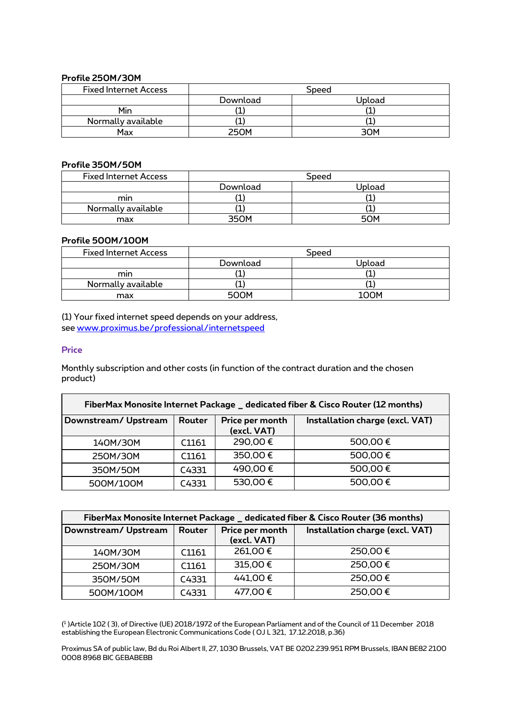#### **Profile 250M/30M**

| <b>Fixed Internet Access</b> | Speed         |        |  |
|------------------------------|---------------|--------|--|
|                              | Download      | Upload |  |
| Min                          | <u>. на т</u> |        |  |
| Normally available           |               |        |  |
| Max                          | <b>250M</b>   | ₹∩м    |  |

#### **Profile 350M/50M**

| <b>Fixed Internet Access</b> | Speed    |        |  |
|------------------------------|----------|--------|--|
|                              | Download | Upload |  |
| mın                          |          |        |  |
| Normally available           |          |        |  |
| max                          | วฺธ∩м    | 50M    |  |

#### **Profile 500M/100M**

| <b>Fixed Internet Access</b> | Speed       |        |  |
|------------------------------|-------------|--------|--|
|                              | Download    | Upload |  |
| mın                          |             |        |  |
| Normally available           |             |        |  |
| max                          | <b>500м</b> | 100M   |  |

(1) Your fixed internet speed depends on your address, see [www.proximus.be/professional/internetspeed](https://eur03.safelinks.protection.outlook.com/?url=http%3A%2F%2Fwww.proximus.be%2Fprofessional%2Finternetspeed&data=04%7C01%7Cnathalie.huyghebaert%40proximus.com%7C8519c66d39a34b75cf2f08d9fb7dec1f%7Ce7ab81b21e844bf79dcbb6fec01ed138%7C0%7C0%7C637817340510632558%7CUnknown%7CTWFpbGZsb3d8eyJWIjoiMC4wLjAwMDAiLCJQIjoiV2luMzIiLCJBTiI6Ik1haWwiLCJXVCI6Mn0%3D%7C3000&sdata=oG%2Bl0qABVUYm2iSRVI%2FI84SW6EwXNBpUNwfGQ86hMdE%3D&reserved=0)

## **Price**

Monthly subscription and other costs (in function of the contract duration and the chosen product)

| FiberMax Monosite Internet Package _ dedicated fiber & Cisco Router (12 months) |                   |                                |                                 |  |
|---------------------------------------------------------------------------------|-------------------|--------------------------------|---------------------------------|--|
| Downstream/Upstream                                                             | Router            | Price per month<br>(excl. VAT) | Installation charge (excl. VAT) |  |
| 140M/30M                                                                        | C <sub>1161</sub> | 290,00€                        | 500,00€                         |  |
| 250M/30M                                                                        | C1161             | 350,00€                        | 500,00€                         |  |
| 350M/50M                                                                        | C4331             | 490,00€                        | 500,00€                         |  |
| 500M/100M                                                                       | C4331             | 530,00€                        | 500,00€                         |  |

| FiberMax Monosite Internet Package _ dedicated fiber & Cisco Router (36 months) |        |                                |                                 |  |
|---------------------------------------------------------------------------------|--------|--------------------------------|---------------------------------|--|
| Downstream/Upstream                                                             | Router | Price per month<br>(excl. VAT) | Installation charge (excl. VAT) |  |
| 140M/30M                                                                        | C1161  | 261,00€                        | 250,00€                         |  |
| 250M/30M                                                                        | C1161  | 315,00€                        | 250,00€                         |  |
| 350M/50M                                                                        | C4331  | 441,00€                        | 250,00€                         |  |
| 500M/100M                                                                       | C4331  | 477,00€                        | 250,00€                         |  |

( 1 )Article 102 ( 3), of Directive (UE) 2018/1972 of the European Parliament and of the Council of 11 December 2018 establishing the European Electronic Communications Code ( OJ L 321, 17.12.2018, p.36)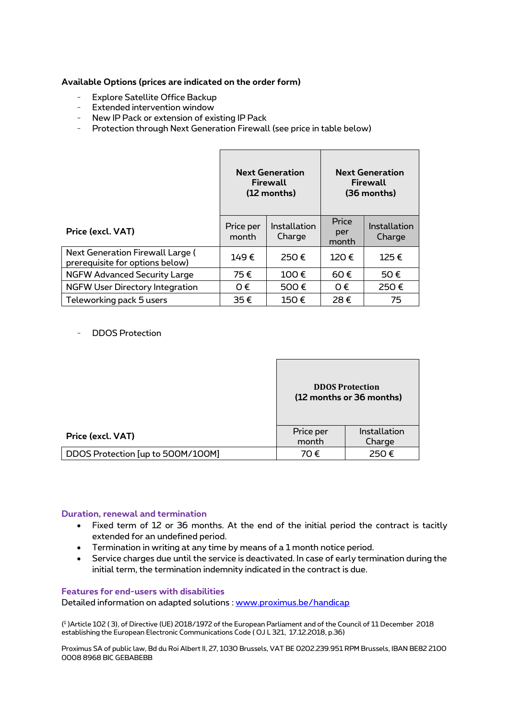## **Available Options (prices are indicated on the order form)**

- Explore Satellite Office Backup
- Extended intervention window
- New IP Pack or extension of existing IP Pack
- Protection through Next Generation Firewall (see price in table below)

|                                                                     | <b>Next Generation</b><br>Firewall<br>(12 months) |                        | <b>Next Generation</b><br>Firewall<br>(36 months) |                        |
|---------------------------------------------------------------------|---------------------------------------------------|------------------------|---------------------------------------------------|------------------------|
| Price (excl. VAT)                                                   | Price per<br>month                                | Installation<br>Charge | Price<br>per<br>month                             | Installation<br>Charge |
| Next Generation Firewall Large (<br>prerequisite for options below) | 149€                                              | 250€                   | 120€                                              | 125€                   |
| <b>NGFW Advanced Security Large</b>                                 | 75€                                               | 100€                   | 60€                                               | 50€                    |
| <b>NGFW User Directory Integration</b>                              | $0 \in$                                           | 500€                   | $\Omega \in$                                      | 250€                   |
| Teleworking pack 5 users                                            | 35€                                               | 150€                   | 28€                                               | 75                     |

- DDOS Protection

|                                   | <b>DDOS Protection</b><br>(12 months or 36 months) |                        |
|-----------------------------------|----------------------------------------------------|------------------------|
| Price (excl. VAT)                 | Price per<br>month                                 | Installation<br>Charge |
| DDOS Protection [up to 500M/100M] | 70€                                                | 250€                   |

## **Duration, renewal and termination**

- Fixed term of 12 or 36 months. At the end of the initial period the contract is tacitly extended for an undefined period.
- Termination in writing at any time by means of a 1 month notice period.
- Service charges due until the service is deactivated. In case of early termination during the initial term, the termination indemnity indicated in the contract is due.

## **Features for end-users with disabilities**

Detailed information on adapted solutions : [www.proximus.be/handicap](http://www.proximus.be/handicap)

( 1 )Article 102 ( 3), of Directive (UE) 2018/1972 of the European Parliament and of the Council of 11 December 2018 establishing the European Electronic Communications Code ( OJ L 321, 17.12.2018, p.36)